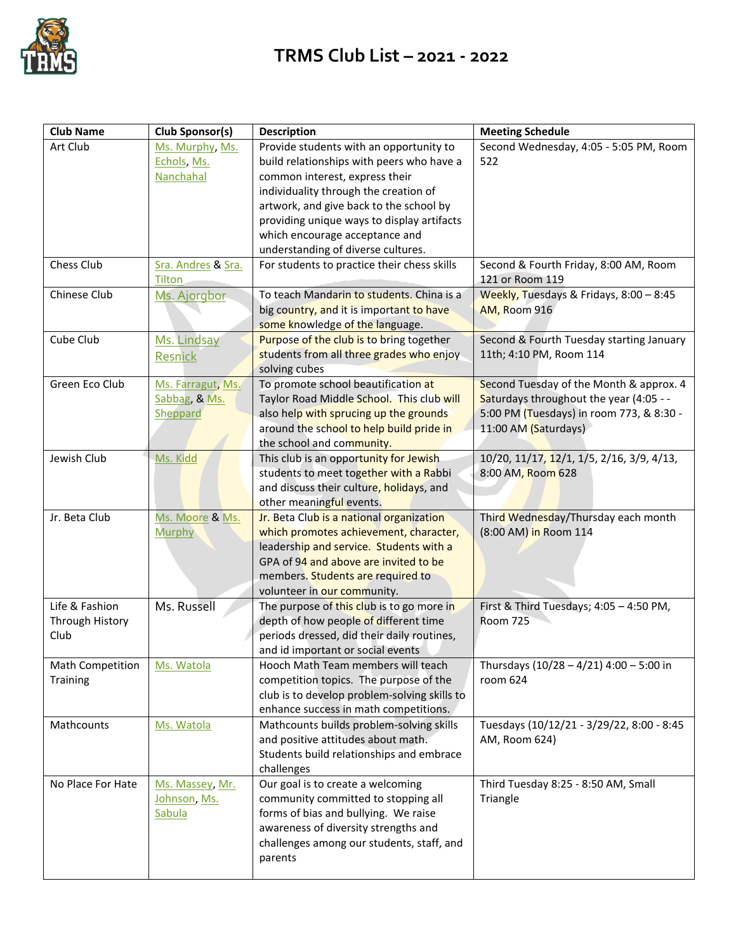

## **TRMS Club List – 2021 - 2022**

| <b>Club Name</b>                          | Club Sponsor(s)                                | <b>Description</b>                                                                                                                                                                                                                                                                                                               | <b>Meeting Schedule</b>                                                                                                                                |
|-------------------------------------------|------------------------------------------------|----------------------------------------------------------------------------------------------------------------------------------------------------------------------------------------------------------------------------------------------------------------------------------------------------------------------------------|--------------------------------------------------------------------------------------------------------------------------------------------------------|
| Art Club                                  | Ms. Murphy, Ms.<br>Echols, Ms.<br>Nanchahal    | Provide students with an opportunity to<br>build relationships with peers who have a<br>common interest, express their<br>individuality through the creation of<br>artwork, and give back to the school by<br>providing unique ways to display artifacts<br>which encourage acceptance and<br>understanding of diverse cultures. | Second Wednesday, 4:05 - 5:05 PM, Room<br>522                                                                                                          |
| Chess Club                                | Sra. Andres & Sra.<br>Tilton                   | For students to practice their chess skills                                                                                                                                                                                                                                                                                      | Second & Fourth Friday, 8:00 AM, Room<br>121 or Room 119                                                                                               |
| Chinese Club                              | Ms. Ajorgbor                                   | To teach Mandarin to students. China is a<br>big country, and it is important to have<br>some knowledge of the language.                                                                                                                                                                                                         | Weekly, Tuesdays & Fridays, 8:00 - 8:45<br>AM, Room 916                                                                                                |
| Cube Club                                 | Ms. Lindsay<br>Resnick                         | Purpose of the club is to bring together<br>students from all three grades who enjoy<br>solving cubes                                                                                                                                                                                                                            | Second & Fourth Tuesday starting January<br>11th; 4:10 PM, Room 114                                                                                    |
| Green Eco Club                            | Ms. Farragut, Ms.<br>Sabbag, & Ms.<br>Sheppard | To promote school beautification at<br>Taylor Road Middle School. This club will<br>also help with sprucing up the grounds<br>around the school to help build pride in<br>the school and community.                                                                                                                              | Second Tuesday of the Month & approx. 4<br>Saturdays throughout the year (4:05 - -<br>5:00 PM (Tuesdays) in room 773, & 8:30 -<br>11:00 AM (Saturdays) |
| Jewish Club                               | Ms. Kidd                                       | This club is an opportunity for Jewish<br>students to meet together with a Rabbi<br>and discuss their culture, holidays, and<br>other meaningful events.                                                                                                                                                                         | 10/20, 11/17, 12/1, 1/5, 2/16, 3/9, 4/13,<br>8:00 AM, Room 628                                                                                         |
| Jr. Beta Club                             | Ms. Moore & Ms.<br><b>Murphy</b>               | Jr. Beta Club is a national organization<br>which promotes achievement, character,<br>leadership and service. Students with a<br>GPA of 94 and above are invited to be<br>members. Students are required to<br>volunteer in our community.                                                                                       | Third Wednesday/Thursday each month<br>(8:00 AM) in Room 114                                                                                           |
| Life & Fashion<br>Through History<br>Club | Ms. Russell                                    | The purpose of this club is to go more in<br>depth of how people of different time<br>periods dressed, did their daily routines,<br>and id important or social events                                                                                                                                                            | First & Third Tuesdays; 4:05 - 4:50 PM,<br><b>Room 725</b>                                                                                             |
| <b>Math Competition</b><br>Training       | Ms. Watola                                     | Hooch Math Team members will teach<br>competition topics. The purpose of the<br>club is to develop problem-solving skills to<br>enhance success in math competitions.                                                                                                                                                            | Thursdays (10/28 - 4/21) 4:00 - 5:00 in<br>room 624                                                                                                    |
| Mathcounts                                | Ms. Watola                                     | Mathcounts builds problem-solving skills<br>and positive attitudes about math.<br>Students build relationships and embrace<br>challenges                                                                                                                                                                                         | Tuesdays (10/12/21 - 3/29/22, 8:00 - 8:45<br>AM, Room 624)                                                                                             |
| No Place For Hate                         | Ms. Massey, Mr.<br>Johnson, Ms.<br>Sabula      | Our goal is to create a welcoming<br>community committed to stopping all<br>forms of bias and bullying. We raise<br>awareness of diversity strengths and<br>challenges among our students, staff, and<br>parents                                                                                                                 | Third Tuesday 8:25 - 8:50 AM, Small<br>Triangle                                                                                                        |